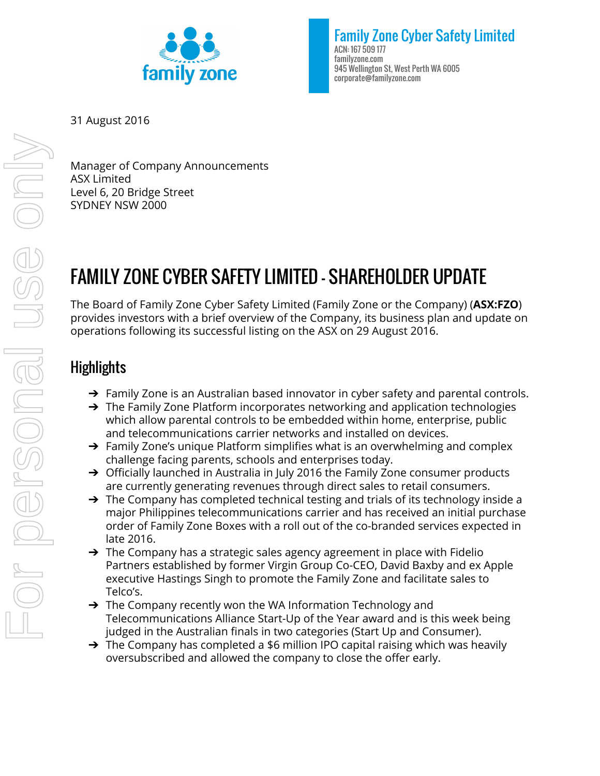

Family Zone Cyber Safety Limited ACN: 167 509 177 familyzone.com 945 Wellington St, West Perth WA 6005 corporate@familyzone.com

31 August 2016

Manager of Company Announcements ASX Limited Level 6, 20 Bridge Street SYDNEY NSW 2000

# FAMILY ZONE CYBER SAFETY LIMITED - SHAREHOLDER UPDATE

The Board of Family Zone Cyber Safety Limited (Family Zone or the Company) (**ASX:FZO**) provides investors with a brief overview of the Company, its business plan and update on operations following its successful listing on the ASX on 29 August 2016.

## **Highlights**

- $\rightarrow$  Family Zone is an Australian based innovator in cyber safety and parental controls.
- $\rightarrow$  The Family Zone Platform incorporates networking and application technologies which allow parental controls to be embedded within home, enterprise, public and telecommunications carrier networks and installed on devices.
- ➔ Family Zone's unique Platform simplifies what is an overwhelming and complex challenge facing parents, schools and enterprises today.
- $\rightarrow$  Officially launched in Australia in July 2016 the Family Zone consumer products are currently generating revenues through direct sales to retail consumers.
- $\rightarrow$  The Company has completed technical testing and trials of its technology inside a major Philippines telecommunications carrier and has received an initial purchase order of Family Zone Boxes with a roll out of the co-branded services expected in late 2016.
- $\rightarrow$  The Company has a strategic sales agency agreement in place with Fidelio Partners established by former Virgin Group Co-CEO, David Baxby and ex Apple executive Hastings Singh to promote the Family Zone and facilitate sales to Telco's.
- → The Company recently won the WA Information Technology and Telecommunications Alliance Start-Up of the Year award and is this week being judged in the Australian finals in two categories (Start Up and Consumer).
- $\rightarrow$  The Company has completed a \$6 million IPO capital raising which was heavily oversubscribed and allowed the company to close the offer early.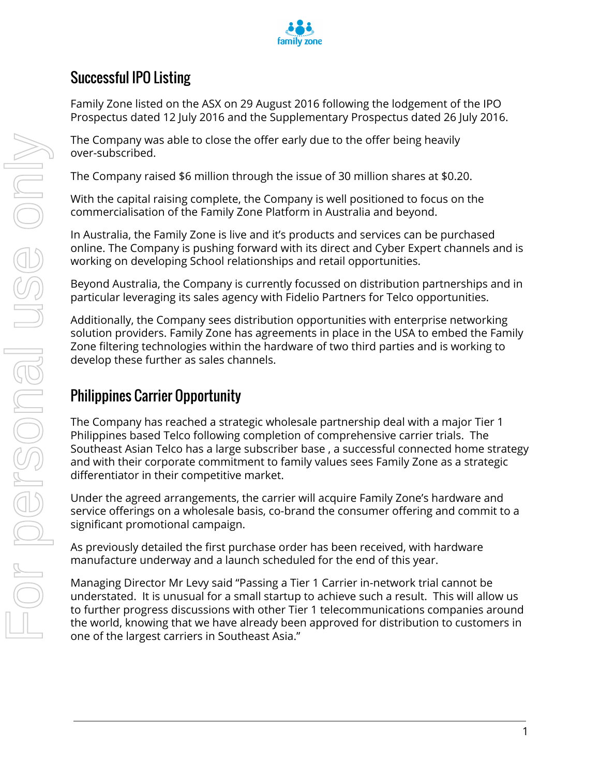

# Successful IPO Listing

Family Zone listed on the ASX on 29 August 2016 following the lodgement of the IPO Prospectus dated 12 July 2016 and the Supplementary Prospectus dated 26 July 2016.

The Company was able to close the offer early due to the offer being heavily over-subscribed.

The Company raised \$6 million through the issue of 30 million shares at \$0.20.

With the capital raising complete, the Company is well positioned to focus on the commercialisation of the Family Zone Platform in Australia and beyond.

In Australia, the Family Zone is live and it's products and services can be purchased online. The Company is pushing forward with its direct and Cyber Expert channels and is working on developing School relationships and retail opportunities.

Beyond Australia, the Company is currently focussed on distribution partnerships and in particular leveraging its sales agency with Fidelio Partners for Telco opportunities.

Additionally, the Company sees distribution opportunities with enterprise networking solution providers. Family Zone has agreements in place in the USA to embed the Family Zone filtering technologies within the hardware of two third parties and is working to develop these further as sales channels.

# Philippines Carrier Opportunity

The Company has reached a strategic wholesale partnership deal with a major Tier 1 Philippines based Telco following completion of comprehensive carrier trials. The Southeast Asian Telco has a large subscriber base , a successful connected home strategy and with their corporate commitment to family values sees Family Zone as a strategic differentiator in their competitive market.

Under the agreed arrangements, the carrier will acquire Family Zone's hardware and service offerings on a wholesale basis, co-brand the consumer offering and commit to a significant promotional campaign.

As previously detailed the first purchase order has been received, with hardware manufacture underway and a launch scheduled for the end of this year.

Managing Director Mr Levy said "Passing a Tier 1 Carrier in-network trial cannot be understated. It is unusual for a small startup to achieve such a result. This will allow us to further progress discussions with other Tier 1 telecommunications companies around the world, knowing that we have already been approved for distribution to customers in one of the largest carriers in Southeast Asia."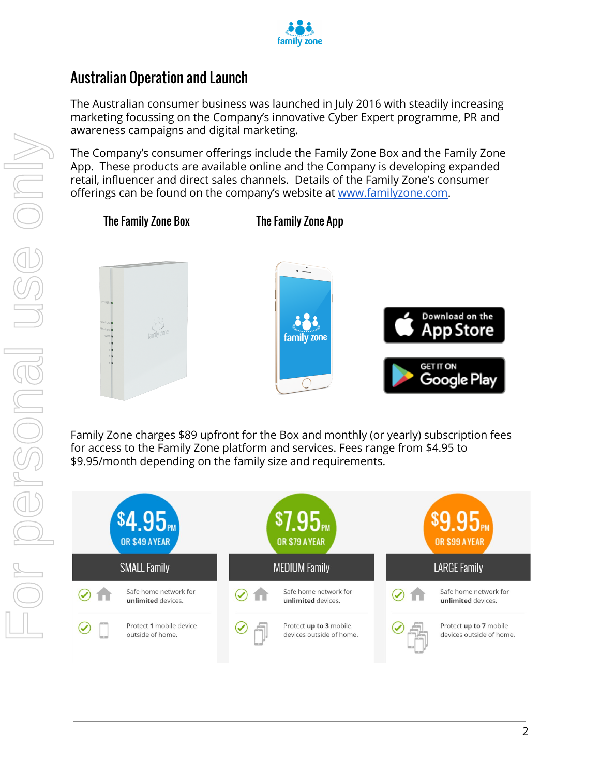

## Australian Operation and Launch

The Australian consumer business was launched in July 2016 with steadily increasing marketing focussing on the Company's innovative Cyber Expert programme, PR and awareness campaigns and digital marketing.

The Company's consumer offerings include the Family Zone Box and the Family Zone App. These products are available online and the Company is developing expanded retail, influencer and direct sales channels. Details of the Family Zone's consumer offerings can be found on the company's website at [www.familyzone.com.](http://www.familyzone.com/)



Family Zone charges \$89 upfront for the Box and monthly (or yearly) subscription fees for access to the Family Zone platform and services. Fees range from \$4.95 to \$9.95/month depending on the family size and requirements.

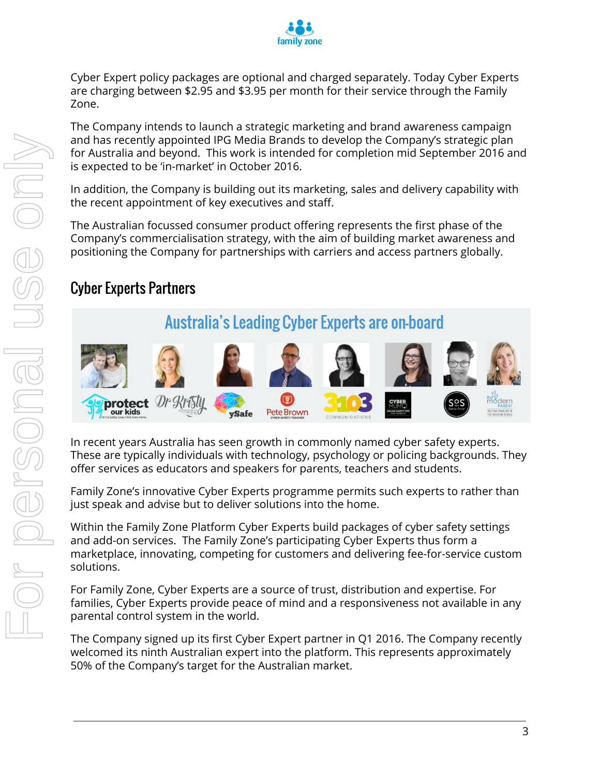

Cyber Expert policy packages are optional and charged separately. Today Cyber Experts are charging between \$2.95 and \$3.95 per month for their service through the Family Zone.

The Company intends to launch a strategic marketing and brand awareness campaign and has recently appointed IPG Media Brands to develop the Company's strategic plan for Australia and beyond. This work is intended for completion mid September 2016 and is expected to be 'in-market' in October 2016.

In addition, the Company is building out its marketing, sales and delivery capability with the recent appointment of key executives and staff.

The Australian focussed consumer product offering represents the first phase of the Company's commercialisation strategy, with the aim of building market awareness and positioning the Company for partnerships with carriers and access partners globally.

# Cyber Experts Partners

# **Australia's Leading Cyber Experts are on-board**



In recent years Australia has seen growth in commonly named cyber safety experts. These are typically individuals with technology, psychology or policing backgrounds. They offer services as educators and speakers for parents, teachers and students.

Family Zone's innovative Cyber Experts programme permits such experts to rather than just speak and advise but to deliver solutions into the home.

Within the Family Zone Platform Cyber Experts build packages of cyber safety settings and add-on services. The Family Zone's participating Cyber Experts thus form a marketplace, innovating, competing for customers and delivering fee-for-service custom solutions.

For Family Zone, Cyber Experts are a source of trust, distribution and expertise. For families, Cyber Experts provide peace of mind and a responsiveness not available in any parental control system in the world.

The Company signed up its first Cyber Expert partner in Q1 2016. The Company recently welcomed its ninth Australian expert into the platform. This represents approximately 50% of the Company's target for the Australian market.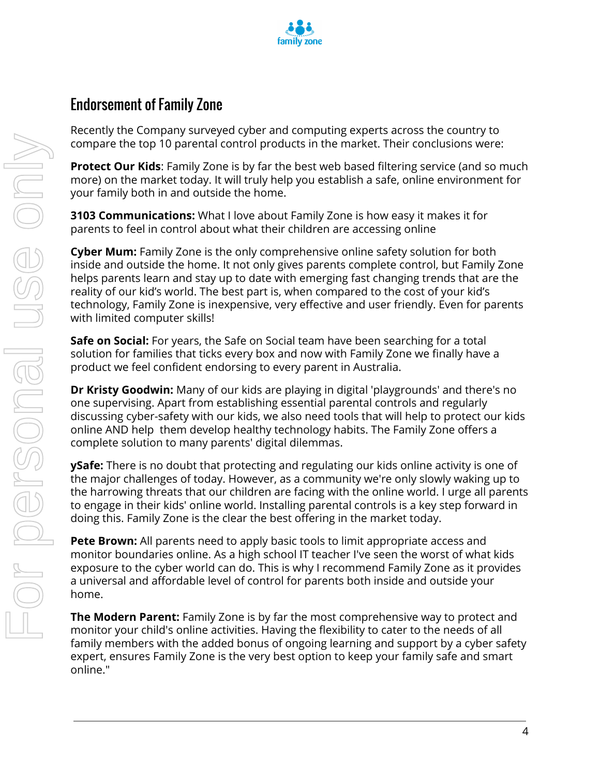

### Endorsement of Family Zone

Recently the Company surveyed cyber and computing experts across the country to compare the top 10 parental control products in the market. Their conclusions were:

**Protect Our Kids:** Family Zone is by far the best web based filtering service (and so much more) on the market today. It will truly help you establish a safe, online environment for your family both in and outside the home.

**3103 Communications:** What I love about Family Zone is how easy it makes it for parents to feel in control about what their children are accessing online

**Cyber Mum:** Family Zone is the only comprehensive online safety solution for both inside and outside the home. It not only gives parents complete control, but Family Zone helps parents learn and stay up to date with emerging fast changing trends that are the reality of our kid's world. The best part is, when compared to the cost of your kid's technology, Family Zone is inexpensive, very effective and user friendly. Even for parents with limited computer skills!

**Safe on Social:** For years, the Safe on Social team have been searching for a total solution for families that ticks every box and now with Family Zone we finally have a product we feel confident endorsing to every parent in Australia.

**Dr Kristy Goodwin:** Many of our kids are playing in digital 'playgrounds' and there's no one supervising. Apart from establishing essential parental controls and regularly discussing cyber-safety with our kids, we also need tools that will help to protect our kids online AND help them develop healthy technology habits. The Family Zone offers a complete solution to many parents' digital dilemmas.

**ySafe:** There is no doubt that protecting and regulating our kids online activity is one of the major challenges of today. However, as a community we're only slowly waking up to the harrowing threats that our children are facing with the online world. I urge all parents to engage in their kids' online world. Installing parental controls is a key step forward in doing this. Family Zone is the clear the best offering in the market today.

**Pete Brown:** All parents need to apply basic tools to limit appropriate access and monitor boundaries online. As a high school IT teacher I've seen the worst of what kids exposure to the cyber world can do. This is why I recommend Family Zone as it provides a universal and affordable level of control for parents both inside and outside your home.

**The Modern Parent:** Family Zone is by far the most comprehensive way to protect and monitor your child's online activities. Having the flexibility to cater to the needs of all family members with the added bonus of ongoing learning and support by a cyber safety expert, ensures Family Zone is the very best option to keep your family safe and smart online."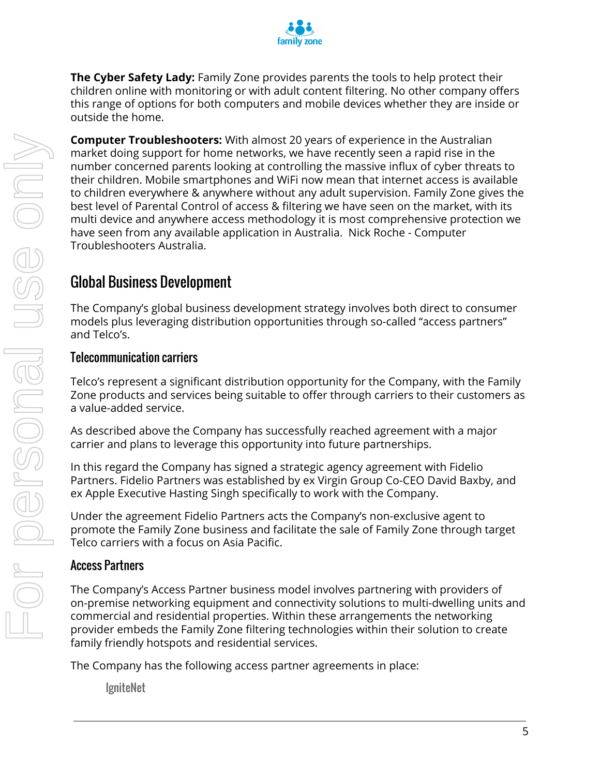

**The Cyber Safety Lady:** Family Zone provides parents the tools to help protect their children online with monitoring or with adult content filtering. No other company offers this range of options for both computers and mobile devices whether they are inside or outside the home.

**Computer Troubleshooters:** With almost 20 years of experience in the Australian market doing support for home networks, we have recently seen a rapid rise in the number concerned parents looking at controlling the massive influx of cyber threats to their children. Mobile smartphones and WiFi now mean that internet access is available to children everywhere & anywhere without any adult supervision. Family Zone gives the best level of Parental Control of access & filtering we have seen on the market, with its multi device and anywhere access methodology it is most comprehensive protection we have seen from any available application in Australia. Nick Roche - Computer Troubleshooters Australia.

### Global Business Development

The Company's global business development strategy involves both direct to consumer models plus leveraging distribution opportunities through so-called "access partners" and Telco's.

#### Telecommunication carriers

Telco's represent a significant distribution opportunity for the Company, with the Family Zone products and services being suitable to offer through carriers to their customers as a value-added service.

As described above the Company has successfully reached agreement with a major carrier and plans to leverage this opportunity into future partnerships.

In this regard the Company has signed a strategic agency agreement with Fidelio Partners. Fidelio Partners was established by ex Virgin Group Co-CEO David Baxby, and ex Apple Executive Hasting Singh specifically to work with the Company.

Under the agreement Fidelio Partners acts the Company's non-exclusive agent to promote the Family Zone business and facilitate the sale of Family Zone through target Telco carriers with a focus on Asia Pacific.

#### Access Partners

The Company's Access Partner business model involves partnering with providers of on-premise networking equipment and connectivity solutions to multi-dwelling units and commercial and residential properties. Within these arrangements the networking provider embeds the Family Zone filtering technologies within their solution to create family friendly hotspots and residential services.

The Company has the following access partner agreements in place:

**IgniteNet**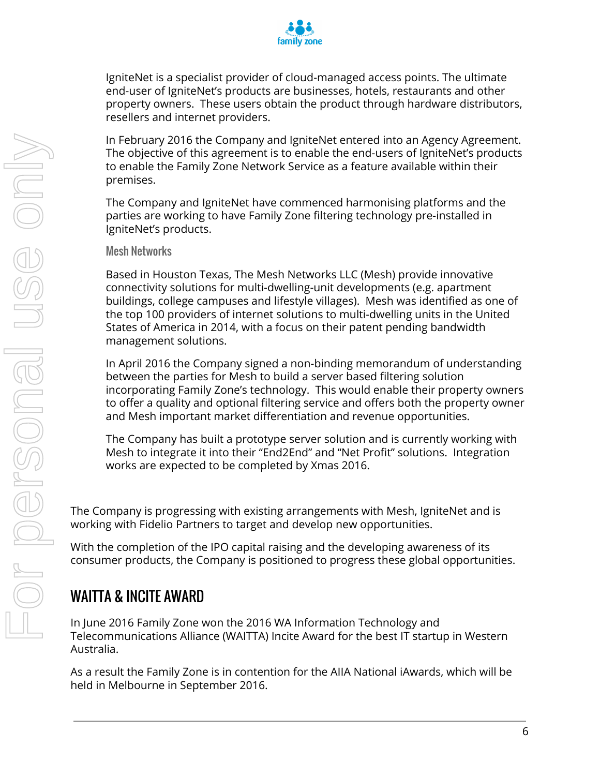

IgniteNet is a specialist provider of cloud-managed access points. The ultimate end-user of IgniteNet's products are businesses, hotels, restaurants and other property owners. These users obtain the product through hardware distributors, resellers and internet providers.

In February 2016 the Company and IgniteNet entered into an Agency Agreement. The objective of this agreement is to enable the end-users of IgniteNet's products to enable the Family Zone Network Service as a feature available within their premises.

The Company and IgniteNet have commenced harmonising platforms and the parties are working to have Family Zone filtering technology pre-installed in IgniteNet's products.

#### Mesh Networks

Based in Houston Texas, The Mesh Networks LLC (Mesh) provide innovative connectivity solutions for multi-dwelling-unit developments (e.g. apartment buildings, college campuses and lifestyle villages). Mesh was identified as one of the top 100 providers of internet solutions to multi-dwelling units in the United States of America in 2014, with a focus on their patent pending bandwidth management solutions.

In April 2016 the Company signed a non-binding memorandum of understanding between the parties for Mesh to build a server based filtering solution incorporating Family Zone's technology. This would enable their property owners to offer a quality and optional filtering service and offers both the property owner and Mesh important market differentiation and revenue opportunities.

The Company has built a prototype server solution and is currently working with Mesh to integrate it into their "End2End" and "Net Profit" solutions. Integration works are expected to be completed by Xmas 2016.

The Company is progressing with existing arrangements with Mesh, IgniteNet and is working with Fidelio Partners to target and develop new opportunities.

With the completion of the IPO capital raising and the developing awareness of its consumer products, the Company is positioned to progress these global opportunities.

### WAITTA & INCITE AWARD

In June 2016 Family Zone won the 2016 WA Information Technology and Telecommunications Alliance (WAITTA) Incite Award for the best IT startup in Western Australia.

As a result the Family Zone is in contention for the AIIA National iAwards, which will be held in Melbourne in September 2016.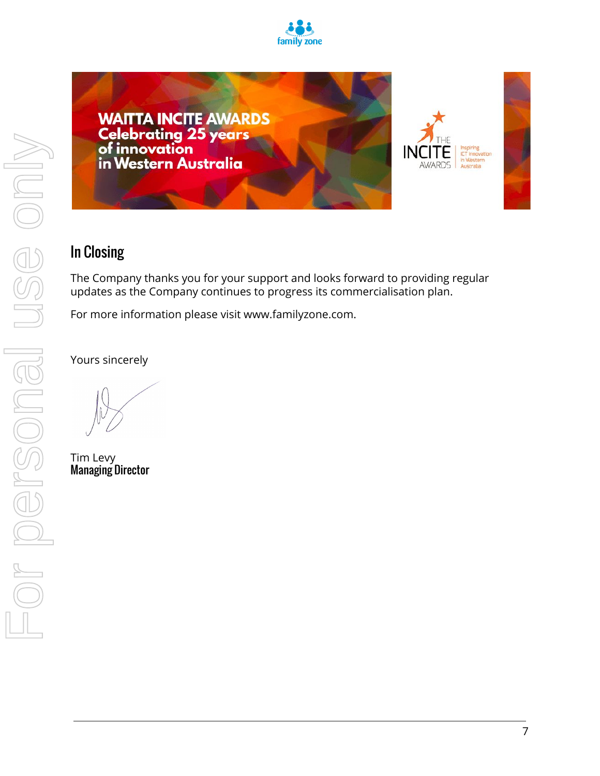



### In Closing

The Company thanks you for your support and looks forward to providing regular updates as the Company continues to progress its commercialisation plan.

For more information please visit www.familyzone.com.

Yours sincerely

Tim Levy Managing Director